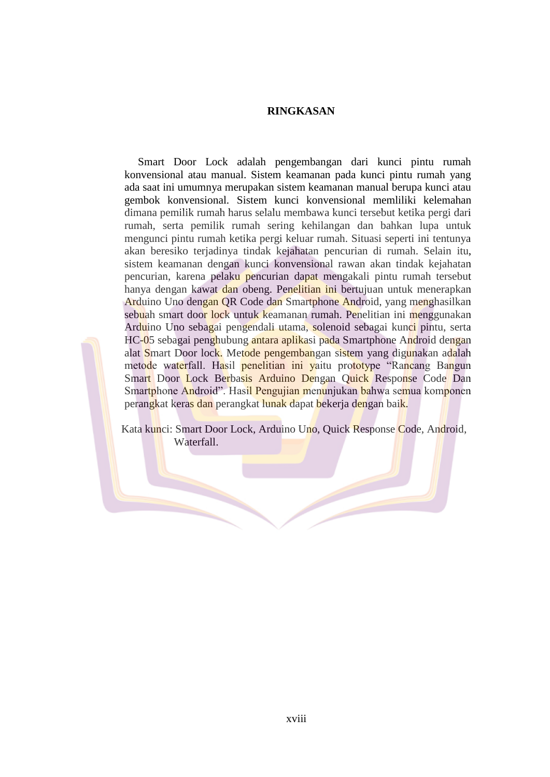## **RINGKASAN**

Smart Door Lock adalah pengembangan dari kunci pintu rumah konvensional atau manual. Sistem keamanan pada kunci pintu rumah yang ada saat ini umumnya merupakan sistem keamanan manual berupa kunci atau gembok konvensional. Sistem kunci konvensional memliliki kelemahan dimana pemilik rumah harus selalu membawa kunci tersebut ketika pergi dari rumah, serta pemilik rumah sering kehilangan dan bahkan lupa untuk mengunci pintu rumah ketika pergi keluar rumah. Situasi seperti ini tentunya akan beresiko terjadinya tindak kejahatan pencurian di rumah. Selain itu, sistem keamanan dengan kunci konvensional rawan akan tindak kejahatan pencurian, karena pelaku pencurian dapat mengakali pintu rumah tersebut hanya dengan kawat dan obeng. Penelitian ini bertujuan untuk menerapkan Arduino Uno dengan QR Code dan Smartphone Android, yang menghasilkan sebuah smart door lock untuk keamanan rumah. Penelitian ini menggunakan Arduino Uno sebagai pengendali utama, solenoid sebagai kunci pintu, serta HC-05 sebagai penghubung antara aplikasi pada Smartphone Android dengan alat Smart Door lock. Metode pengembangan sistem yang digunakan adalah metode waterfall. Hasil penelitian ini yaitu prototype "Rancang Bangun Smart Door Lock Berbasis Arduino Dengan Quick Response Code Dan Smartphone Android". Hasil Pengujian menunjukan bahwa semua komponen perangkat keras dan perangkat lunak dapat bekerja dengan baik.

Kata kunci: Smart Door Lock, Arduino Uno, Quick Response Code, Android, Waterfall.